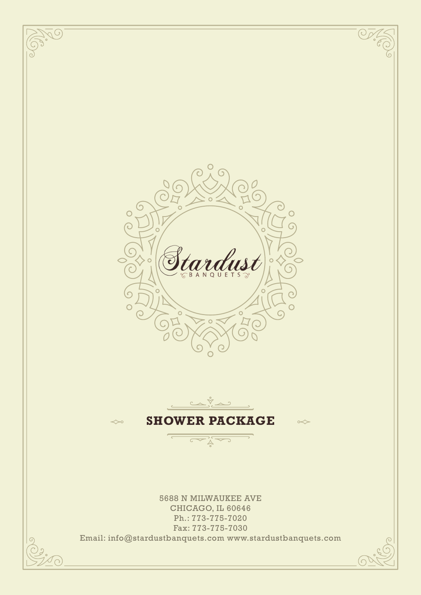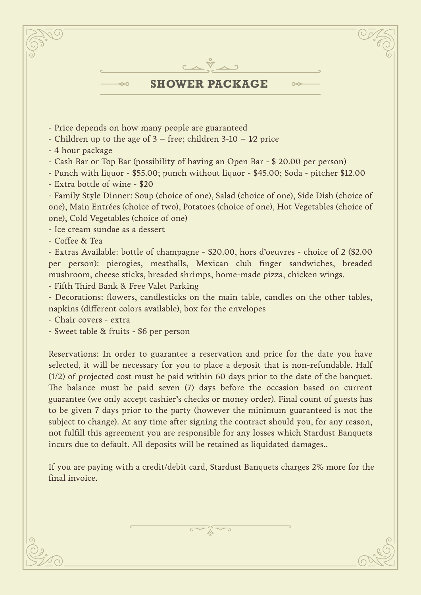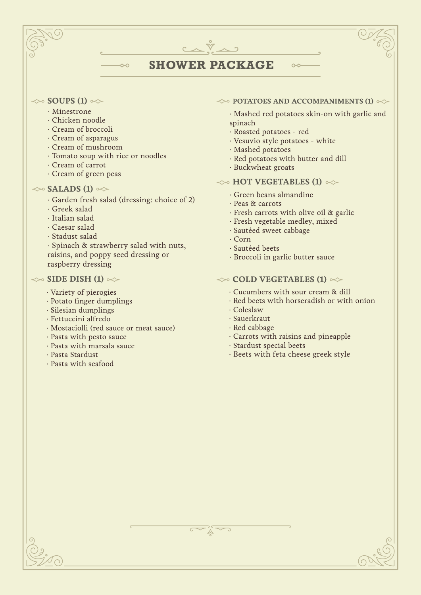# **SHOWER PACKAGE**

 $C \wedge \tilde{V} \wedge \gamma$ 

## $\gg$  **SOUPS (1)**  $\ll$

- · Minestrone
- · Chicken noodle
- · Cream of broccoli
- · Cream of asparagus
- · Cream of mushroom
- · Tomato soup with rice or noodles
- · Cream of carrot
- · Cream of green peas

## $\gg$  **SALADS (1)**  $\ll$

· Garden fresh salad (dressing: choice of 2)

 $\sim$ 

- · Greek salad
- · Italian salad
- · Caesar salad
- · Stadust salad

· Spinach & strawberry salad with nuts, raisins, and poppy seed dressing or raspberry dressing

## $\gg$  SIDE DISH (1)  $\gg$

- · Variety of pierogies
- · Potato finger dumplings
- · Silesian dumplings
- · Fettuccini alfredo
- · Mostaciolli (red sauce or meat sauce)
- · Pasta with pesto sauce
- · Pasta with marsala sauce
- · Pasta Stardust
- · Pasta with seafood

### $\leftrightarrow$  **POTATOES AND ACCOMPANIMENTS (1)**  $\leftrightarrow$

 $\sim$ 

· Mashed red potatoes skin-on with garlic and spinach

- · Roasted potatoes red
- · Vesuvio style potatoes white
- · Mashed potatoes
- · Red potatoes with butter and dill
- · Buckwheat groats

# $\gg$  **HOT VEGETABLES (1)**  $\ll$

- · Green beans almandine
- · Peas & carrots
- · Fresh carrots with olive oil & garlic
- · Fresh vegetable medley, mixed
- · Sautéed sweet cabbage
- · Corn
- · Sautéed beets
- · Broccoli in garlic butter sauce

## $\leftrightarrow$  **COLD VEGETABLES (1)**  $\leftrightarrow$

- · Cucumbers with sour cream & dill
- · Red beets with horseradish or with onion
- · Coleslaw
- · Sauerkraut
- · Red cabbage
- · Carrots with raisins and pineapple
- · Stardust special beets
- · Beets with feta cheese greek style